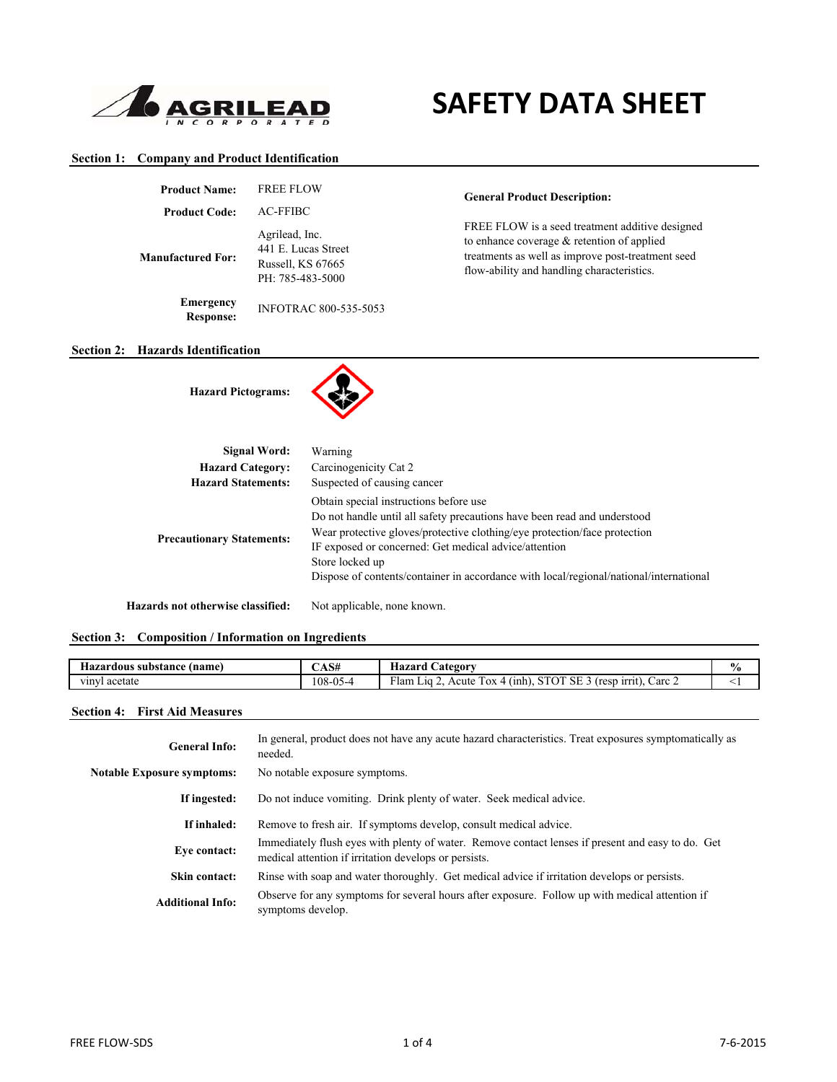

# **SAFETY DATA SHEET**

## **Section 1: Company and Product Identification**

| <b>Product Name:</b>                 | <b>FREE FLOW</b>                                                               |
|--------------------------------------|--------------------------------------------------------------------------------|
| <b>Product Code:</b>                 | <b>AC-FFIBC</b>                                                                |
| Manufactured For:                    | Agrilead, Inc.<br>441 E. Lucas Street<br>Russell, KS 67665<br>PH: 785-483-5000 |
| <b>Emergency</b><br><b>Response:</b> | <b>INFOTRAC 800-535-5053</b>                                                   |

**General Product Description:**

FREE FLOW is a seed treatment additive designed to enhance coverage & retention of applied treatments as well as improve post-treatment seed flow-ability and handling characteristics.

#### **Section 2: Hazards Identification**

**Hazard Pictograms:**



| Signal Word:                      | Warning                                                                                                                                                                                                                                                                                                                                                               |
|-----------------------------------|-----------------------------------------------------------------------------------------------------------------------------------------------------------------------------------------------------------------------------------------------------------------------------------------------------------------------------------------------------------------------|
| <b>Hazard Category:</b>           | Carcinogenicity Cat 2                                                                                                                                                                                                                                                                                                                                                 |
| <b>Hazard Statements:</b>         | Suspected of causing cancer                                                                                                                                                                                                                                                                                                                                           |
| <b>Precautionary Statements:</b>  | Obtain special instructions before use<br>Do not handle until all safety precautions have been read and understood<br>Wear protective gloves/protective clothing/eye protection/face protection<br>IF exposed or concerned: Get medical advice/attention<br>Store locked up<br>Dispose of contents/container in accordance with local/regional/national/international |
| Hazards not otherwise classified: | Not applicable, none known.                                                                                                                                                                                                                                                                                                                                           |

#### **Section 3: Composition / Information on Ingredients**

| : (name)<br>substance<br>Hazardous | CAS#     | $-$<br>Hazard<br><b>Category</b>                                                                                                                 | $\frac{6}{6}$ |
|------------------------------------|----------|--------------------------------------------------------------------------------------------------------------------------------------------------|---------------|
| vinv.<br>l acetate                 | 108-05-4 | T1<br><b>__</b><br>$\sim$ $-$<br>$\sim$<br>Carc 2<br>1rrit).<br>Acute<br>(nnh)<br>Flam<br>$\overline{\text{OX}}$<br>(resp<br>1.10<br>SЕ<br>' U L |               |
|                                    |          |                                                                                                                                                  |               |

#### **Section 4: First Aid Measures**

| <b>General Info:</b>              | In general, product does not have any acute hazard characteristics. Treat exposures symptomatically as<br>needed.                                          |
|-----------------------------------|------------------------------------------------------------------------------------------------------------------------------------------------------------|
| <b>Notable Exposure symptoms:</b> | No notable exposure symptoms.                                                                                                                              |
| If ingested:                      | Do not induce vomiting. Drink plenty of water. Seek medical advice.                                                                                        |
| If inhaled:                       | Remove to fresh air. If symptoms develop, consult medical advice.                                                                                          |
| Eve contact:                      | Immediately flush eyes with plenty of water. Remove contact lenses if present and easy to do. Get<br>medical attention if irritation develops or persists. |
| Skin contact:                     | Rinse with soap and water thoroughly. Get medical advice if irritation develops or persists.                                                               |
| <b>Additional Info:</b>           | Observe for any symptoms for several hours after exposure. Follow up with medical attention if<br>symptoms develop.                                        |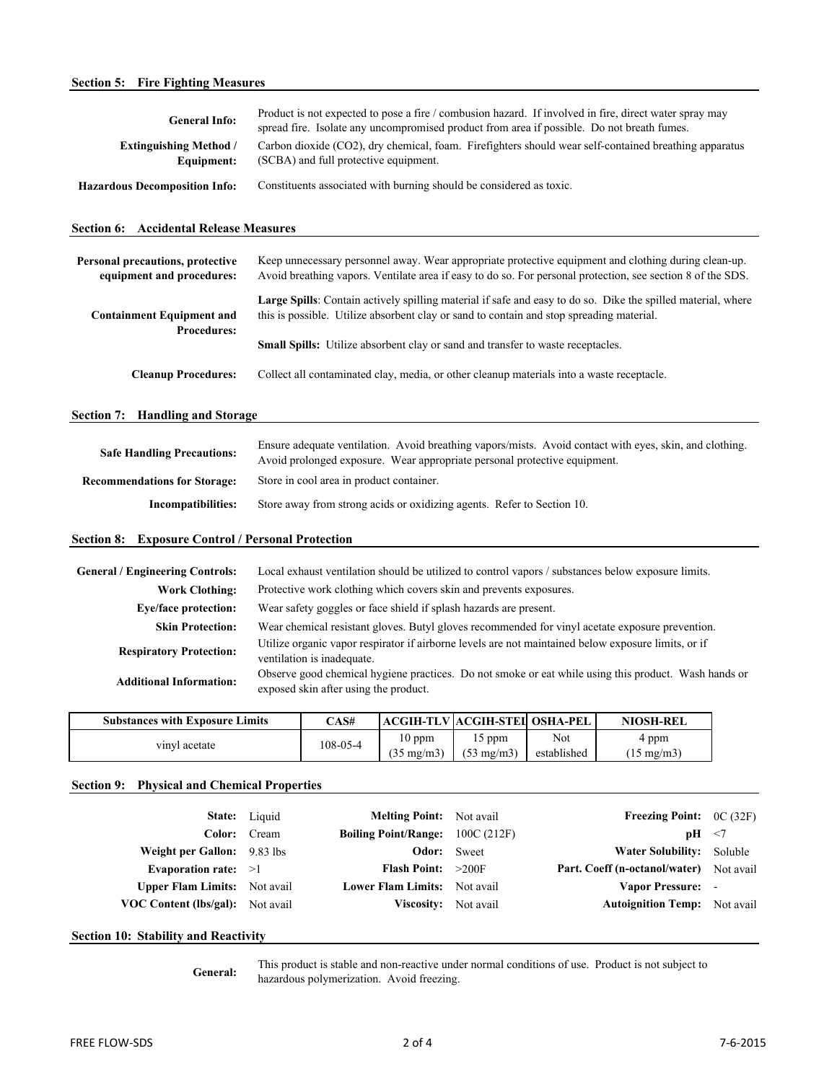| <b>General Info:</b>                                          | Product is not expected to pose a fire / combusion hazard. If involved in fire, direct water spray may<br>spread fire. Isolate any uncompromised product from area if possible. Do not breath fumes.                |
|---------------------------------------------------------------|---------------------------------------------------------------------------------------------------------------------------------------------------------------------------------------------------------------------|
| <b>Extinguishing Method /</b><br>Equipment:                   | Carbon dioxide (CO2), dry chemical, foam. Firefighters should wear self-contained breathing apparatus<br>(SCBA) and full protective equipment.                                                                      |
| <b>Hazardous Decomposition Info:</b>                          | Constituents associated with burning should be considered as toxic.                                                                                                                                                 |
| <b>Section 6: Accidental Release Measures</b>                 |                                                                                                                                                                                                                     |
| Personal precautions, protective<br>equipment and procedures: | Keep unnecessary personnel away. Wear appropriate protective equipment and clothing during clean-up.<br>Avoid breathing vapors. Ventilate area if easy to do so. For personal protection, see section 8 of the SDS. |
| <b>Containment Equipment and</b><br><b>Procedures:</b>        | Large Spills: Contain actively spilling material if safe and easy to do so. Dike the spilled material, where<br>this is possible. Utilize absorbent clay or sand to contain and stop spreading material.            |
|                                                               | Small Spills: Utilize absorbent clay or sand and transfer to waste receptacles.                                                                                                                                     |
| <b>Cleanup Procedures:</b>                                    | Collect all contaminated clay, media, or other cleanup materials into a waste receptacle.                                                                                                                           |
| Section 7: Handling and Storage                               |                                                                                                                                                                                                                     |
| <b>Safe Handling Precautions:</b>                             | Ensure adequate ventilation. Avoid breathing vapors/mists. Avoid contact with eyes, skin, and clothing.<br>Avoid prolonged exposure. Wear appropriate personal protective equipment.                                |
| <b>Recommendations for Storage:</b>                           | Store in cool area in product container.                                                                                                                                                                            |
| Incompatibilities:                                            | Store away from strong acids or oxidizing agents. Refer to Section 10.                                                                                                                                              |
| <b>Section 8: Exposure Control / Personal Protection</b>      |                                                                                                                                                                                                                     |
| General / Engineering Controls,                               | I ocal exhaust ventilation should be utilized to control vapors / substances below exposure limits                                                                                                                  |

| <b>General / Engineering Controls:</b> | Local exhaust ventilation should be utilized to control vapors / substances below exposure limits.                                            |
|----------------------------------------|-----------------------------------------------------------------------------------------------------------------------------------------------|
| <b>Work Clothing:</b>                  | Protective work clothing which covers skin and prevents exposures.                                                                            |
| <b>Eye/face protection:</b>            | Wear safety goggles or face shield if splash hazards are present.                                                                             |
| <b>Skin Protection:</b>                | Wear chemical resistant gloves. Butyl gloves recommended for vinyl acetate exposure prevention.                                               |
| <b>Respiratory Protection:</b>         | Utilize organic vapor respirator if airborne levels are not maintained below exposure limits, or if<br>ventilation is inadequate.             |
| <b>Additional Information:</b>         | Observe good chemical hygiene practices. Do not smoke or eat while using this product. Wash hands or<br>exposed skin after using the product. |
|                                        |                                                                                                                                               |

| <b>Substances with Exposure Limits</b> | CAS#     |                                  | ACGIH-TLV  ACGIH-STEI  OSHA-PEL |                    | <b>NIOSH-REL</b>              |
|----------------------------------------|----------|----------------------------------|---------------------------------|--------------------|-------------------------------|
| vinyl acetate                          | 108-05-4 | $10$ ppm<br>$(35 \text{ mg/m3})$ | ppm<br>$(53 \text{ mg/m3})$     | Not<br>established | 4 ppm<br>$(15 \text{ mg/m3})$ |

## **Section 9: Physical and Chemical Properties**

|                                         | State: Liquid | <b>Melting Point:</b> Not avail         | <b>Freezing Point:</b> $OC(32F)$               |  |
|-----------------------------------------|---------------|-----------------------------------------|------------------------------------------------|--|
|                                         | Color: Cream  | <b>Boiling Point/Range:</b> 100C (212F) | $pH \leq 7$                                    |  |
| Weight per Gallon: 9.83 lbs             |               | <b>Odor:</b> Sweet                      | Water Solubility: Soluble                      |  |
| Evaporation rate: $>1$                  |               | <b>Flash Point:</b> $>200F$             | <b>Part. Coeff (n-octanol/water)</b> Not avail |  |
| <b>Upper Flam Limits:</b> Not avail     |               | <b>Lower Flam Limits:</b> Not avail     | Vapor Pressure: -                              |  |
| <b>VOC Content (lbs/gal):</b> Not avail |               | <b>Viscosity:</b> Not avail             | <b>Autoignition Temp:</b> Not avail            |  |
|                                         |               |                                         |                                                |  |

## **Section 10: Stability and Reactivity**

**General:**

This product is stable and non-reactive under normal conditions of use. Product is not subject to hazardous polymerization. Avoid freezing.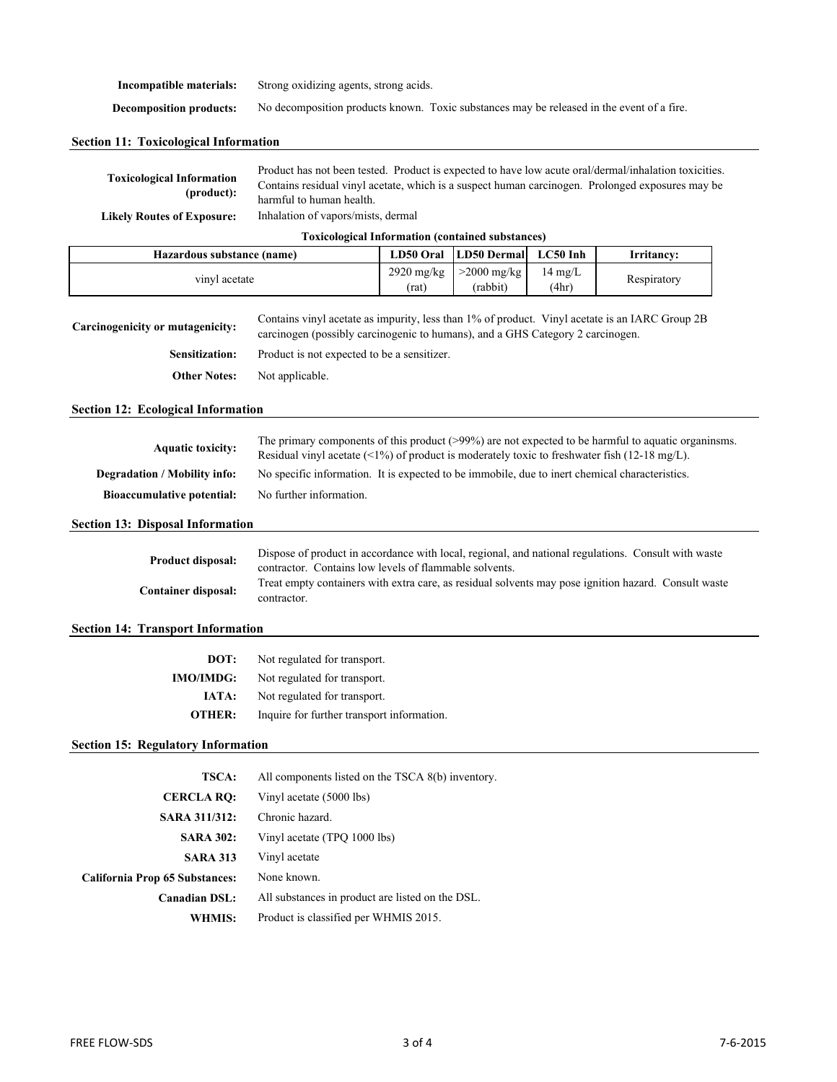| Incompatible materials:        | Strong oxidizing agents, strong acids.                                                    |  |  |  |  |
|--------------------------------|-------------------------------------------------------------------------------------------|--|--|--|--|
| <b>Decomposition products:</b> | No decomposition products known. Toxic substances may be released in the event of a fire. |  |  |  |  |

|  |  |  |  | <b>Section 11: Toxicological Information</b> |
|--|--|--|--|----------------------------------------------|
|--|--|--|--|----------------------------------------------|

| <b>Toxicological Information</b><br>(product): | Product has not been tested. Product is expected to have low acute oral/dermal/inhalation toxicities.<br>Contains residual vinyl acetate, which is a suspect human carcinogen. Prolonged exposures may be<br>harmful to human health. |
|------------------------------------------------|---------------------------------------------------------------------------------------------------------------------------------------------------------------------------------------------------------------------------------------|
| <b>Likely Routes of Exposure:</b>              | Inhalation of vapors/mists, dermal                                                                                                                                                                                                    |
|                                                | <b>Toxicological Information (contained substances)</b>                                                                                                                                                                               |

| Hazardous substance (name) | <b>LD50 Oral</b>      | LD50 Dermal               | $LC50$ Inh               | Irritancv:  |
|----------------------------|-----------------------|---------------------------|--------------------------|-------------|
| vinyl acetate              | $2920$ mg/kg<br>(rat) | $>2000$ mg/kg<br>(rabbit) | $14 \text{ mg/L}$<br>4hr | Respiratory |

| Carcinogenicity or mutagenicity: | Contains vinyl acetate as impurity, less than 1% of product. Vinyl acetate is an IARC Group 2B<br>carcinogen (possibly carcinogenic to humans), and a GHS Category 2 carcinogen. |  |
|----------------------------------|----------------------------------------------------------------------------------------------------------------------------------------------------------------------------------|--|
| <b>Sensitization:</b>            | Product is not expected to be a sensitizer.                                                                                                                                      |  |
| <b>Other Notes:</b>              | Not applicable.                                                                                                                                                                  |  |

#### **Section 12: Ecological Information**

| <b>Aquatic toxicity:</b>            | The primary components of this product $(>99%)$ are not expected to be harmful to aquatic organisms.<br>Residual vinyl acetate $(51\%)$ of product is moderately toxic to freshwater fish (12-18 mg/L). |
|-------------------------------------|---------------------------------------------------------------------------------------------------------------------------------------------------------------------------------------------------------|
| <b>Degradation / Mobility info:</b> | No specific information. It is expected to be immobile, due to inert chemical characteristics.                                                                                                          |
| <b>Bioaccumulative potential:</b>   | No further information.                                                                                                                                                                                 |

## **Section 13: Disposal Information**

| <b>Product disposal:</b>   | Dispose of product in accordance with local, regional, and national regulations. Consult with waste<br>contractor. Contains low levels of flammable solvents. |
|----------------------------|---------------------------------------------------------------------------------------------------------------------------------------------------------------|
| <b>Container disposal:</b> | Treat empty containers with extra care, as residual solvents may pose ignition hazard. Consult waste<br>contractor.                                           |

#### **Section 14: Transport Information**

| DOT:             | Not regulated for transport.               |
|------------------|--------------------------------------------|
| <b>IMO/IMDG:</b> | Not regulated for transport.               |
| IATA:            | Not regulated for transport.               |
| OTHER:           | Inquire for further transport information. |

## **Section 15: Regulatory Information**

| <b>TSCA:</b>                   | All components listed on the TSCA 8(b) inventory. |
|--------------------------------|---------------------------------------------------|
| <b>CERCLA RO:</b>              | Vinyl acetate (5000 lbs)                          |
| <b>SARA 311/312:</b>           | Chronic hazard.                                   |
| <b>SARA 302:</b>               | Vinyl acetate (TPO 1000 lbs)                      |
| <b>SARA 313</b>                | Vinyl acetate                                     |
| California Prop 65 Substances: | None known.                                       |
| <b>Canadian DSL:</b>           | All substances in product are listed on the DSL.  |
| WHMIS:                         | Product is classified per WHMIS 2015.             |
|                                |                                                   |